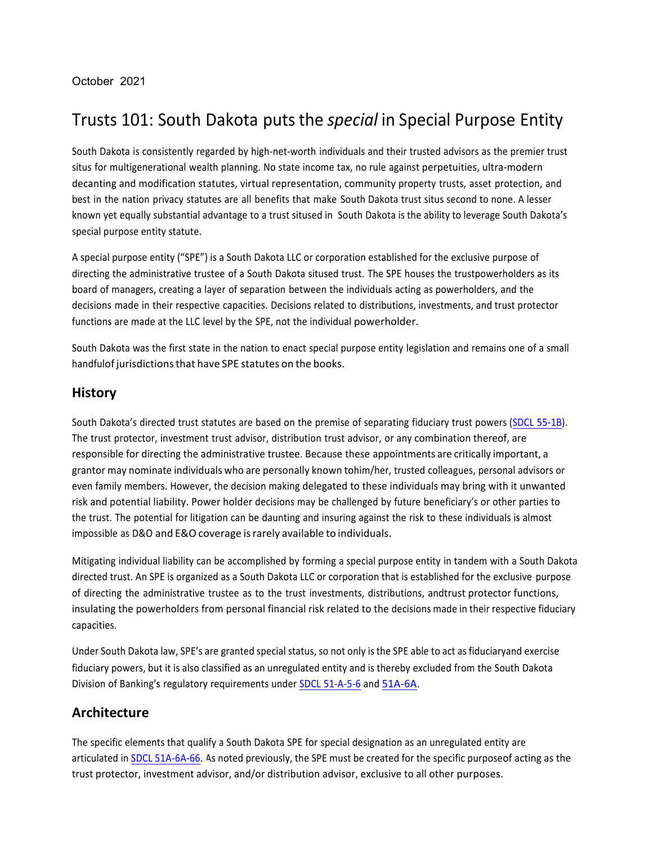## Trusts!101:!South Dakota puts the *special* in Special Purpose Entity

South Dakota is consistently regarded by high-net-worth individuals and their trusted advisors as the premier trust situs for multigenerational wealth planning. No state income tax, no rule against perpetuities, ultra-modern decanting and modification statutes, virtual representation, community property trusts, asset protection, and best in the nation privacy statutes are all benefits that make South Dakota trust situs second to none. A lesser known yet equally substantial advantage to a trust sitused in South Dakota is the ability to leverage South Dakota's special purpose entity statute.

A special purpose entity ("SPE") is a South Dakota LLC or corporation established for the exclusive purpose of directing the administrative trustee of a South Dakota sitused trust. The SPE houses the trustpowerholders as its board of managers, creating a layer of separation between the individuals acting as powerholders, and the decisions made in their respective capacities. Decisions related to distributions, investments, and trust protector functions are made at the LLC level by the SPE, not the individual powerholder.

South Dakota was the first state in the nation to enact special purpose entity legislation and remains one of a small handfulof jurisdictions that have SPE statutes on the books.

#### **History**

South Dakota's directed trust statutes are based on the premise of separating fiduciary trust powers (SDCL [55<1B\).](https://sdlegislature.gov/Statutes/Codified_Laws/2072632) The trust protector, investment trust advisor, distribution trust advisor, or any combination thereof, are responsible for directing the administrative trustee. Because these appointments are critically important, a grantor may nominate individuals who are personally known tohim/her, trusted colleagues, personal advisors or even family members. However, the decision making delegated to these individuals may bring with it unwanted risk and potential liability. Power holder decisions may be challenged by future beneficiary's or other parties to the trust. The potential for litigation can be daunting and insuring against the risk to these individuals is almost impossible as D&O and E&O coverage is rarely available to individuals.

Mitigating individual liability can be accomplished by forming a special purpose entity in tandem with a South Dakota directed trust. An SPE is organized as a South Dakota LLC or corporation that is established for the exclusive purpose of directing the administrative trustee as to the trust investments, distributions, andtrust protector functions, insulating the powerholders from personal financial risk related to the decisions made in their respective fiduciary capacities.

Under South Dakota law, SPE's are granted special status, so not only is the SPE able to act as fiduciaryand exercise! fiduciary powers, but it is also classified as an unregulated entity and is thereby excluded from the South Dakota Division of Banking's regulatory requirements under SDCL 51-A-5-6 and 51A-6A.

### **Architecture**

The specific elements that qualify a South Dakota SPE for special designation as an unregulated entity are! articulated in SDCL 51A-6A-66. As noted previously, the SPE must be created for the specific purposeof acting as the trust protector, investment advisor, and/or distribution advisor, exclusive to all other purposes.